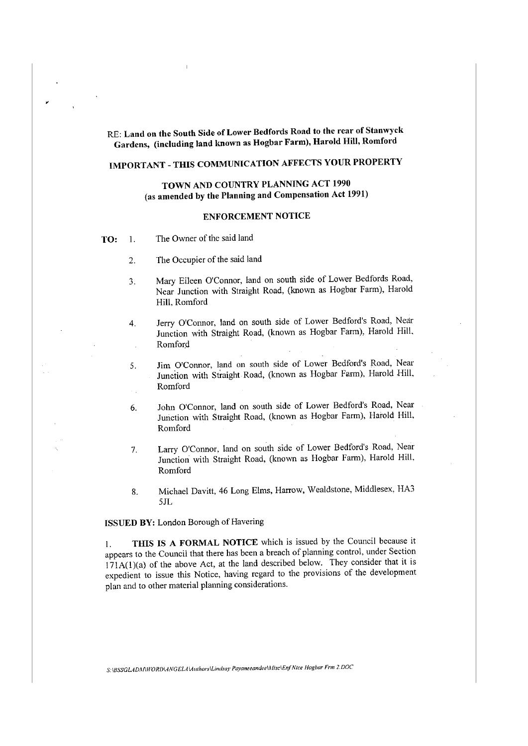RE: **Land on the South Side of Lower Bedfords Road to the rear of Stanwyck Gardens, (including land known as Hogbar Farm), Harold Hill, Romford** 

# **IMPORTANT - THIS COMMUNICATION AFFECTS YOUR PROPERTY**

### **TOWN AND COUNTRY PLANNING ACT 1990** (as **amended by the Planning and Compensation Act 1991)**

#### **ENFORCEMENT NOTICE**

- TO: 1. The Owner of the said land
	- 2. The Occupier of the said land
	- 3. Mary Eileen O'Connor, land on south side of Lower Bedfords Road, Near Junction with Straight Road, (known as Hogbar Farm), Harold Hill, Romford
	- 4. Jerry O'Connor, land on south side of Lower Bedford's Road, Near Junction with Straight Road, (known as Hogbar Farm), Harold Hill, **Romford**
	- 5. Jim O'Connor, land on south side of Lower Bedford's Road, Near Junction with Straight Road, (known as Hogbar Farm), Harold Hill, Romford Й,
	- 6. John O'Connor, land on south side of Lower Bedford's Road, Near Junction with Straight Road, (known as Hogbar Farm), Harold Hill, Romford
	- 7. Larry O'Connor, land on south side of Lower Bedford's Road, Near Junction with Straight Road, (known as Hogbar Farm), Harold Hill, Romford
	- 8. Michael Davitt, 46 Long Elms, Harrow, Wealdstone, Middlesex, HA3 SJL

**ISSUED BY:** London Borough of Havering

I. **THIS IS A FORMAL NOTICE** which is issued by the Council because it appears to the Council that there has been a breach of planning control, under Section  $171A(1)(a)$  of the above Act, at the land described below. They consider that it is expedient to issue this Notice, having regard to the provisions of the development plan and to other material planning considerations.

*S:\8SSGLAD1\f\WORD\ANGELA\A11thors\Li11d.say Payaneeandee\Afisc\EnfNice Hogbar Frm 2.DOC*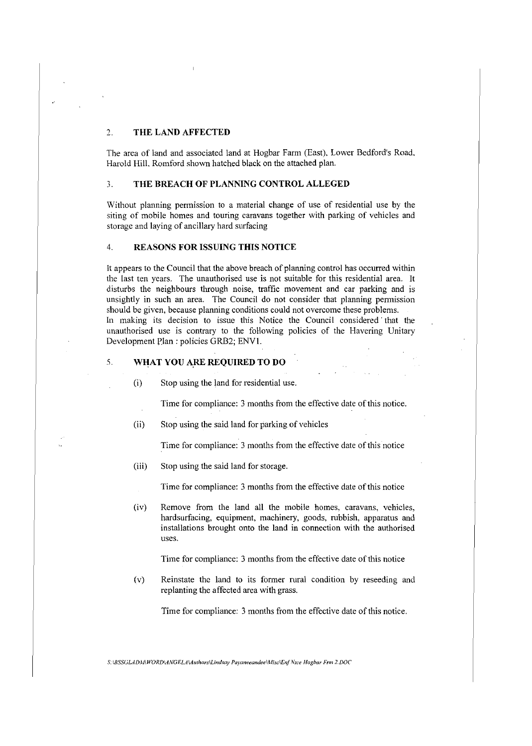### 2. **THE LAND AFFECTED**

The area of land and associated land at Hogbar Farm (East), Lower Bedford's Road, Harold Hill, Romford shown hatched black on the attached plan.

### 3. **THE BREACH OF PLANNING CONTROL ALLEGED**

Without planning permission to a material change of use of residential use by the siting of mobile homes and touring caravans together with parking of vehicles and storage and laying of ancillary hard surfacing

#### 4. **REASONS FOR ISSUING THIS NOTICE**

It appears to the Council that the above breach of planning control has occurred within the last ten years. The unauthorised use is not suitable for this residential area. It disturbs the neighbours through noise, traffic movement and car parking and is unsightly in such an area. The Council do not consider that planning permission should be given, because planning conditions could not overcome these problems. In making its decision to issue this Notice the Council considered that the unauthorised use is contrary to the following policies of the Havering Unitary Development Plan: policies GRB2; ENVl.

### 5. **WHAT YOU A.RE REQUIRED TO DO**

(i) Stop using the land for residential use.

Time for compliance: 3 months from the effective date of this notice.

(ii) Stop using the said land for parking of vehicles

Time for compliance: 3 months from the effective date of this notice

(iii) Stop using the said land for storage.

Time for compliance: 3 months from the effective date of this notice

(iv) Remove from the land all the mobile homes, caravans, vehicles, hardsurfacing, equipment, machinery, goods, rubbish, apparatus and installations brought onto the land in connection with the authorised uses.

Time for compliance: 3 months from the effective date of this notice

(v) Reinstate the land to its former rural condition by reseeding and replanting the affected area with grass.

Time for compliance: 3 months from the effective date of this notice.

*S: \BSSGLAD1H\WORDl4.NGElA\A111hors\Li11dsay Payaneeandee\Afisc\EnJNtce Hogbar Frm 2.DOC*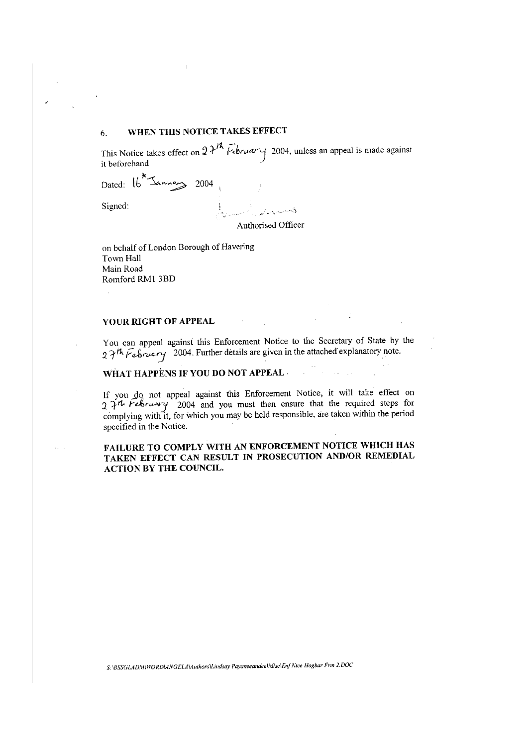## 6. **WHEN THIS NOTICE TAKES EFFECT**

This Notice takes effect on  $2\lambda^{1/2}$  *Februar*  $\gamma$  2004, unless an appeal is made against it beforehand ·

Dated:  $^\circledk$  $16$   $\rightarrow$   $\rightarrow$   $\rightarrow$  2004

Signed:

್ಲಿ ಮಾರಾಟ್ ಕ Authorised Officer

on behalf of London Borough of Havering Town Hall Main Road Romford RMI 3BD

### **YOUR RIGHT OF APPEAL**

You can appeal against this Enforcement Notice to the Secretary of State by the 27<sup>th</sup> February <sup>2004</sup>. Further details are given in the attached explanatory note.

#### **WHAT HAPPENS IF YOU DO NOT APPEAL.**

If you do not appeal against this Enforcement Notice, it will take effect on 2.  $2.7<sup>th</sup>$  *Felsruary* 2004 and you must then ensure that the required steps for complying with it, for which you may be held responsible, are taken within the period specified in the Notice.

### **FAILURE TO COMPLY WITH AN ENFORCEMENT NOTICE WHICH HAS TAKEN EFFECT CAN RESULT IN PROSECUTION AND/OR REMEDIAL ACTION BY THE COUNCIL.**

*S: \BSSGLADA1\WORD\Al1/GELA\A111hors\li11dsay Payaneeandee\Afisc\ErifNtce Hogbar Frm 2.DOC*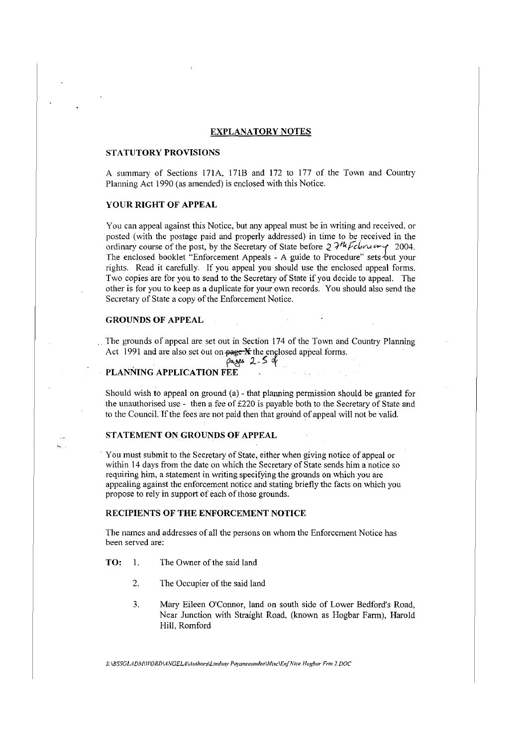#### **EXPLANATORY NOTES**

#### **STATUTORY PROVISIONS**

A summary of Sections 171A, 1718 and 172 to 177 of the Town and Conntry Planning Act 1990 (as amended) is enclosed with this Notice.

#### **YOUR RIGHT OF APPEAL**

You can appeal against this Notice, but any appeal must be in writing and received, or posted (with the postage paid and properly addressed) in time to be received in the ordinary course of the post, by the Secretary of State before  $2 \mathcal{H}^h$  February 2004. The enclosed booklet "Enforcement Appeals - A guide to Procedure" sets but your rights. Read it carefully. If you appeal you should use the enclosed appeal forms. Two copies are for you to send to the Secretary of State if you decide to appeal. The other is for you to keep as a duplicate for your own records. You should also send the Secretary of State a copy of the Enforcement Notice.

#### **GROUNDS OF APPEAL**

The grounds of appeal are set out in Section 174 of the Town and Country Planning Act 1991 and are also set out on  $\frac{\text{page } \times \text{theta}}{\text{angle}}$  appeal forms.

# pages 2-5 of

#### **PLANNINGAPPLICATION FEE**

Should wish to appeal on ground (a) - that planning permission should be granted for the unauthorised use - then a fee of £220 is payable both to the Secretary of State and to the Council. If the fees are not paid then that ground of appeal will not be valid.

### **STATEMENT ON GROUNDS OF APPEAL**

· You must submit to the Secretary of State, either when giving notice of appeal or within 14 days from the date on which the Secretary of State sends him a notice so requiring him, a statement in writing specifying the grounds on which you are appealing against the enforcement notice and stating briefly the facts on which you propose to rely in support of each of those grounds.

### **RECIPIENTS OF THE ENFORCEMENT NOTICE**

The names and addresses of all the persons on whom the Enforcement Notice has been served are:

- TO: 1. The Owner of the said land
	- 2. The Occupier of the said land
	- 3. Mary Eileen O'Connor, land on south side of Lower Bedford's Road, Near Junction with Straight Road, (known as Hogbar Farm), Harold Hill, Romford

*S:\BSSGLADAl\IVORDL4NGELA\Authors\lindsay PayaneeandeelA!isc\EnfNtce Hogbar Frm 1.DOC*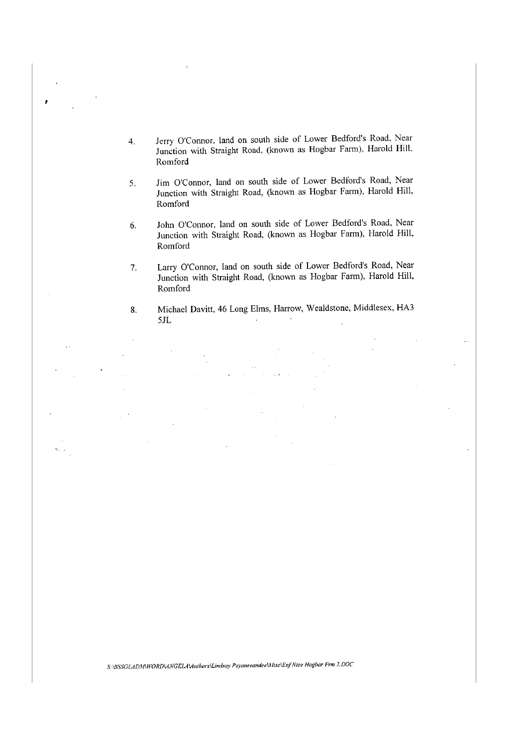- 4. Jerry O'Connor, land on south side of Lower Bedford's Road, Near Junction with Straight Road, (known as Hogbar Farm), Harold Hill. Romford
- 5. Jim O'Connor, land on south side of Lower Bedford's Road, Near Junction with Straight Road, (known as Hogbar Farm), Harold Hill. Romford
- 6. John O'Connor, land on south side of Lower Bedford's Road, Near Junction with Straight Road, (known as Hogbar Farm), Harold Hill, Romford
- 7. Larry O'Connor, land on south side of Lower Bedford's Road, Near Junction with Straight Road, (known as Hogbar Farm), Harold Hill, **Romford**
- 8. Michael Davitt, 46 Long Elms, Harrow, Wealdstone, Middlesex, HA3 5JL  $\mathcal{A}^{\mathcal{A}}$

*S:\BSSGLAD,\I\WORDl4NGELA\A111hors\lindsay Payaneeandee\Alisc\Enf Ntce Hogbar Frm 2.DOC*